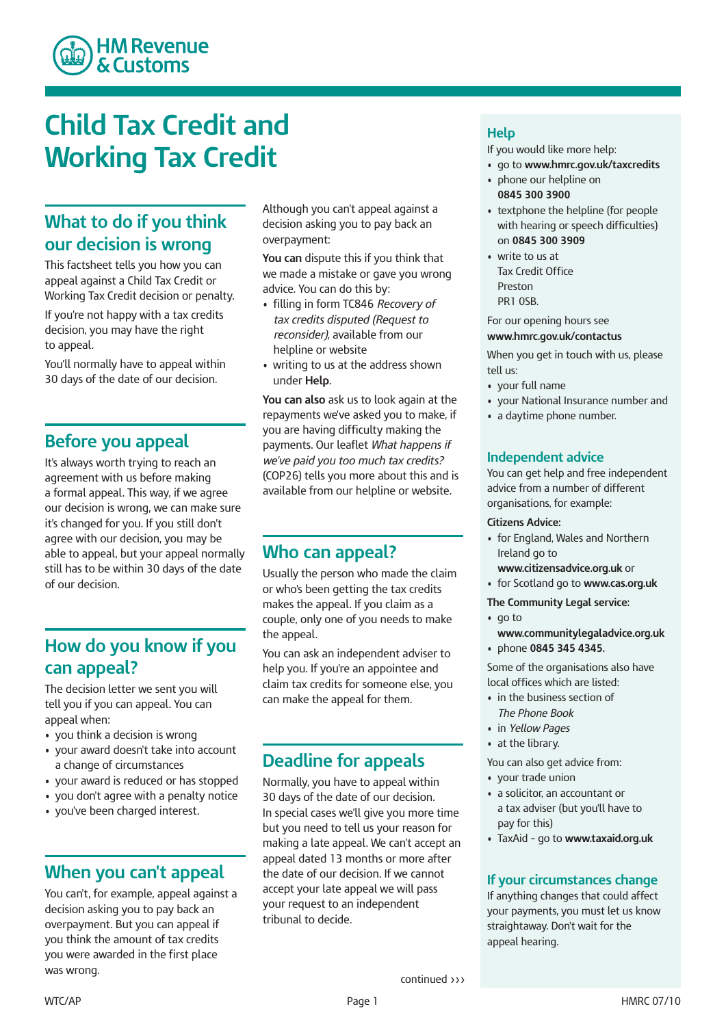

## **Child Tax Credit and Working Tax Credit**

## **What to do if you think our decision is wrong**

 This factsheet tells you how you can appeal against a Child Tax Credit or Working Tax Credit decision or penalty.

 If you're not happy with a tax credits decision, you may have the right to appeal.

 You'll normally have to appeal within 30 days of the date of our decision.

#### **Before you appeal**

 It's always worth trying to reach an agreement with us before making a formal appeal. This way, if we agree our decision is wrong, we can make sure it's changed for you. If you still don't agree with our decision, you may be able to appeal, but your appeal normally still has to be within 30 days of the date of our decision.

## **How do you know if you can appeal?**

 The decision letter we sent you will tell you if you can appeal. You can appeal when:

- you think a decision is wrong
- your award doesn't take into account a change of circumstances
- your award is reduced or has stopped
- you don't agree with a penalty notice
- you've been charged interest.

#### **When you can't appeal**

 You can't, for example, appeal against a decision asking you to pay back an overpayment. But you can appeal if you think the amount of tax credits you were awarded in the first place was wrong.

 Although you can't appeal against a decision asking you to pay back an overpayment:

 **You can** dispute this if you think that we made a mistake or gave you wrong advice. You can do this by:

- filling in form TC846 *Recovery of tax credits disputed (Request to reconsider)*, available from our helpline or website
- • writing to us at the address shown under **Help**.

 **You can also** ask us to look again at the repayments we've asked you to make, if you are having difficulty making the  payments. Our leaflet *What happens if we've paid you too much tax credits?* (COP26) tells you more about this and is available from our helpline or website.

#### **Who can appeal?**

 Usually the person who made the claim or who's been getting the tax credits makes the appeal. If you claim as a couple, only one of you needs to make the appeal.

 You can ask an independent adviser to help you. If you're an appointee and claim tax credits for someone else, you can make the appeal for them.

## **Deadline for appeals**

 Normally, you have to appeal within 30 days of the date of our decision. In special cases we'll give you more time but you need to tell us your reason for making a late appeal. We can't accept an appeal dated 13 months or more after the date of our decision. If we cannot accept your late appeal we will pass your request to an independent tribunal to decide.

#### **Help**

If you would like more help:

- go to **www.hmrc.gov.uk/taxcredits**
- • phone our helpline on  **0845 300 3900**
- • textphone the helpline (for people with hearing or speech difficulties)  on **0845 300 3909**
- write to us at Tax Credit Office Preston PR1 0SB.

For our opening hours see

**www.hmrc.gov.uk/contactus**

 When you get in touch with us, please tell us:

- your full name
- your National Insurance number and
- • a daytime phone number.

#### **Independent advice**

 You can get help and free independent advice from a number of different organisations, for example:

#### **Citizens Advice:**

- • for England, Wales and Northern Ireland go to
- **www.citizensadvice.org.uk** or
- for Scotland go to **www.cas.org.uk**

#### **The Community Legal service:**

- go to **www.communitylegaladvice.org.uk**
- phone **0845 345 4345.**

 Some of the organisations also have local offices which are listed:

- in the business section of The Phone Book
- in Yellow Pages
- at the library.

You can also get advice from:

- your trade union
- a solicitor, an accountant or a tax adviser (but you'll have to pay for this)
- TaxAid go to **www.taxaid.org.uk**

#### **If your circumstances change**

 If anything changes that could affect your payments, you must let us know straightaway. Don't wait for the appeal hearing.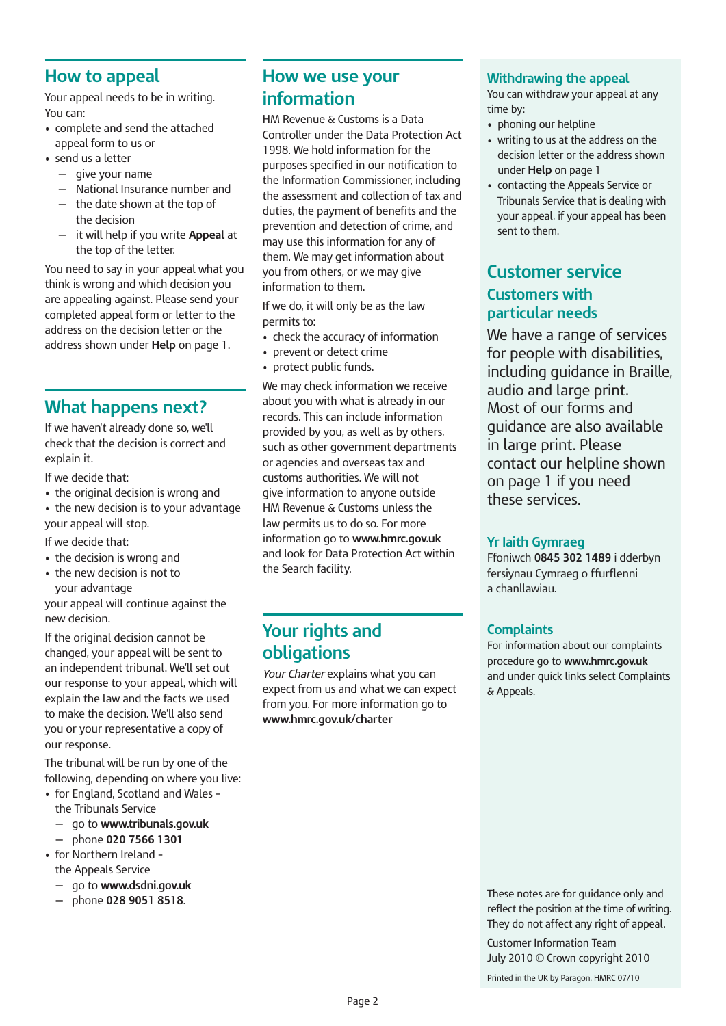#### **How to appeal**

 Your appeal needs to be in writing. You can:

- complete and send the attached appeal form to us or
- send us a letter
	- — give your name
	- — National Insurance number and
	- — the date shown at the top of the decision
	- — it will help if you write **Appeal** at the top of the letter.

 You need to say in your appeal what you think is wrong and which decision you are appealing against. Please send your completed appeal form or letter to the address on the decision letter or the address shown under **Help** on page 1.

## **What happens next?**

 If we haven't already done so, we'll check that the decision is correct and explain it.

If we decide that:

- the original decision is wrong and
- the new decision is to your advantage your appeal will stop.

If we decide that:

- the decision is wrong and
- the new decision is not to your advantage

 your appeal will continue against the new decision.

 If the original decision cannot be changed, your appeal will be sent to an independent tribunal. We'll set out our response to your appeal, which will explain the law and the facts we used to make the decision. We'll also send you or your representative a copy of our response.

 The tribunal will be run by one of the following, depending on where you live:

- for England, Scotland and Wales the Tribunals Service
	- — go to **www.tribunals.gov.uk**
	- — phone **020 7566 1301**
- • for Northern Ireland the Appeals Service
	- — go to **www.dsdni.gov.uk**
	- — phone **028 9051 8518**.

## **How we use your information**

 HM Revenue & Customs is a Data Controller under the Data Protection Act 1998. We hold information for the purposes specified in our notification to the assessment and collection of tax and duties, the payment of benefits and the prevention and detection of crime, and may use this information for any of them. We may get information about you from others, or we may give information to them. the Information Commissioner, including

 If we do, it will only be as the law permits to:

- check the accuracy of information
- prevent or detect crime
- protect public funds.

 We may check information we receive about you with what is already in our records. This can include information provided by you, as well as by others, such as other government departments or agencies and overseas tax and customs authorities. We will not give information to anyone outside HM Revenue & Customs unless the law permits us to do so. For more information go to **www.hmrc.gov.uk** and look for Data Protection Act within the Search facility.

## **Your rights and obligations**

 *Your Charter* explains what you can expect from us and what we can expect from you. For more information go to **www.hmrc.gov.uk/charter**

#### **Withdrawing the appeal**

 You can withdraw your appeal at any time by:

- phoning our helpline
- writing to us at the address on the decision letter or the address shown under **Help** on page 1
- • contacting the Appeals Service or Tribunals Service that is dealing with your appeal, if your appeal has been sent to them.

## **Customers with Customer service particular needs**

 We have a range of services for people with disabilities, including guidance in Braille, audio and large print. Most of our forms and guidance are also available in large print. Please contact our helpline shown on page 1 if you need these services.

#### **Yr Iaith Gymraeg**

 Ffoniwch **0845 302 1489** i dderbyn fersiynau Cymraeg o ffurflenni a chanllawiau.

#### **Complaints**

 For information about our complaints procedure go to **www.hmrc.gov.uk** and under quick links select Complaints & Appeals.

 These notes are for guidance only and reflect the position at the time of writing. They do not affect any right of appeal.

 July 2010 © Crown copyright 2010 Customer Information Team

Printed in the UK by Paragon. HMRC 07/10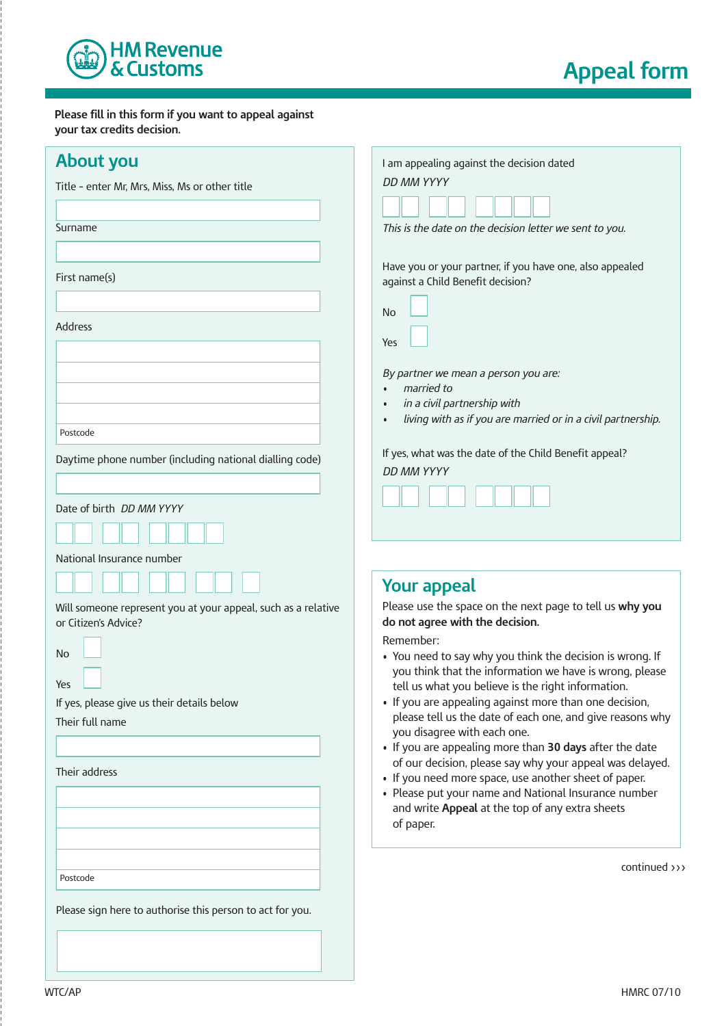

**Appeal form**

 **Please fill in this form if you want to appeal against your tax credits decision.**

| <b>About you</b>                                                                      | I am appealing against the decision dated                                                                         |
|---------------------------------------------------------------------------------------|-------------------------------------------------------------------------------------------------------------------|
| Title - enter Mr, Mrs, Miss, Ms or other title                                        | DD MM YYYY                                                                                                        |
|                                                                                       |                                                                                                                   |
| Surname                                                                               |                                                                                                                   |
|                                                                                       | This is the date on the decision letter we sent to you.                                                           |
|                                                                                       |                                                                                                                   |
| First name(s)                                                                         | Have you or your partner, if you have one, also appealed<br>against a Child Benefit decision?                     |
|                                                                                       |                                                                                                                   |
|                                                                                       | No                                                                                                                |
| Address                                                                               |                                                                                                                   |
|                                                                                       | Yes                                                                                                               |
|                                                                                       | By partner we mean a person you are:                                                                              |
|                                                                                       | married to                                                                                                        |
|                                                                                       | in a civil partnership with                                                                                       |
| Postcode                                                                              | living with as if you are married or in a civil partnership.                                                      |
|                                                                                       | If yes, what was the date of the Child Benefit appeal?                                                            |
| Daytime phone number (including national dialling code)                               | DD MM YYYY                                                                                                        |
|                                                                                       |                                                                                                                   |
| Date of birth <i>DD MM YYYY</i>                                                       |                                                                                                                   |
|                                                                                       |                                                                                                                   |
| National Insurance number                                                             |                                                                                                                   |
|                                                                                       | <b>Your appeal</b>                                                                                                |
| Will someone represent you at your appeal, such as a relative<br>or Citizen's Advice? | Please use the space on the next page to tell us why you<br>do not agree with the decision.                       |
|                                                                                       | Remember:                                                                                                         |
| No                                                                                    | • You need to say why you think the decision is wrong. If                                                         |
| Yes                                                                                   | you think that the information we have is wrong, please                                                           |
| If yes, please give us their details below                                            | tell us what you believe is the right information.<br>• If you are appealing against more than one decision,      |
| Their full name                                                                       | please tell us the date of each one, and give reasons why                                                         |
|                                                                                       | you disagree with each one.                                                                                       |
|                                                                                       | • If you are appealing more than 30 days after the date                                                           |
| Their address                                                                         | of our decision, please say why your appeal was delayed.<br>• If you need more space, use another sheet of paper. |
|                                                                                       | • Please put your name and National Insurance number                                                              |
|                                                                                       | and write Appeal at the top of any extra sheets                                                                   |
|                                                                                       | of paper.                                                                                                         |
|                                                                                       |                                                                                                                   |
|                                                                                       | continued $\rangle$ $\rangle$                                                                                     |
| Postcode                                                                              |                                                                                                                   |
| Please sign here to authorise this person to act for you.                             |                                                                                                                   |
|                                                                                       |                                                                                                                   |
|                                                                                       |                                                                                                                   |